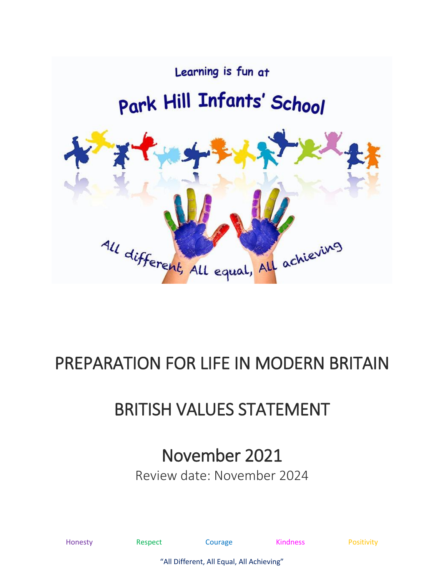

# PREPARATION FOR LIFE IN MODERN BRITAIN

# BRITISH VALUES STATEMENT

### November 2021

Review date: November 2024

|      |  | c |  |
|------|--|---|--|
| 'one |  |   |  |
|      |  |   |  |

Honesty **Respect** Courage **Respect** Courage **Right** Rositivity

"All Different, All Equal, All Achieving"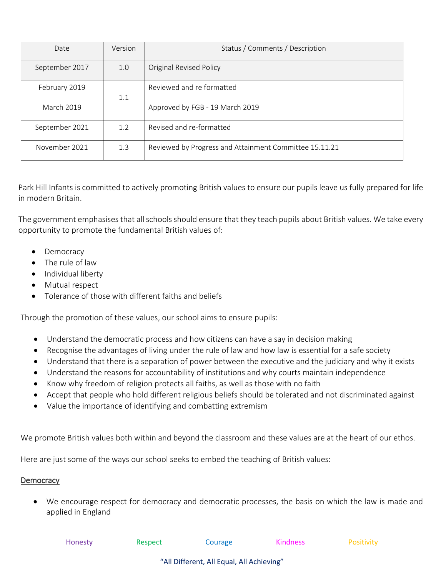| Date              | Version | Status / Comments / Description                        |  |
|-------------------|---------|--------------------------------------------------------|--|
| September 2017    | 1.0     | <b>Original Revised Policy</b>                         |  |
| February 2019     | 1.1     | Reviewed and re formatted                              |  |
| <b>March 2019</b> |         | Approved by FGB - 19 March 2019                        |  |
| September 2021    | 1.2     | Revised and re-formatted                               |  |
| November 2021     | 1.3     | Reviewed by Progress and Attainment Committee 15.11.21 |  |

Park Hill Infants is committed to actively promoting British values to ensure our pupils leave us fully prepared for life in modern Britain.

The government emphasises that all schools should ensure that they teach pupils about British values. We take every opportunity to promote the fundamental British values of:

- Democracy
- The rule of law
- Individual liberty
- Mutual respect
- Tolerance of those with different faiths and beliefs

Through the promotion of these values, our school aims to ensure pupils:

- Understand the democratic process and how citizens can have a say in decision making
- Recognise the advantages of living under the rule of law and how law is essential for a safe society
- Understand that there is a separation of power between the executive and the judiciary and why it exists
- Understand the reasons for accountability of institutions and why courts maintain independence
- Know why freedom of religion protects all faiths, as well as those with no faith
- Accept that people who hold different religious beliefs should be tolerated and not discriminated against
- Value the importance of identifying and combatting extremism

We promote British values both within and beyond the classroom and these values are at the heart of our ethos.

Here are just some of the ways our school seeks to embed the teaching of British values:

#### **Democracy**

• We encourage respect for democracy and democratic processes, the basis on which the law is made and applied in England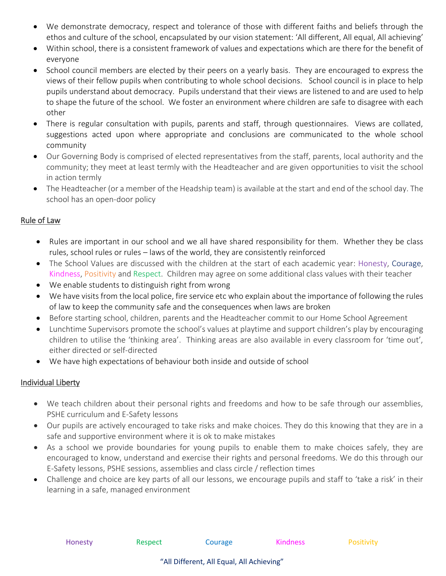- We demonstrate democracy, respect and tolerance of those with different faiths and beliefs through the ethos and culture of the school, encapsulated by our vision statement: 'All different, All equal, All achieving'
- Within school, there is a consistent framework of values and expectations which are there for the benefit of everyone
- School council members are elected by their peers on a yearly basis. They are encouraged to express the views of their fellow pupils when contributing to whole school decisions. School council is in place to help pupils understand about democracy. Pupils understand that their views are listened to and are used to help to shape the future of the school. We foster an environment where children are safe to disagree with each other
- There is regular consultation with pupils, parents and staff, through questionnaires. Views are collated, suggestions acted upon where appropriate and conclusions are communicated to the whole school community
- Our Governing Body is comprised of elected representatives from the staff, parents, local authority and the community; they meet at least termly with the Headteacher and are given opportunities to visit the school in action termly
- The Headteacher (or a member of the Headship team) is available at the start and end of the school day. The school has an open-door policy

#### Rule of Law

- Rules are important in our school and we all have shared responsibility for them. Whether they be class rules, school rules or rules – laws of the world, they are consistently reinforced
- The School Values are discussed with the children at the start of each academic year: Honesty, Courage, Kindness, Positivity and Respect. Children may agree on some additional class values with their teacher
- We enable students to distinguish right from wrong
- We have visits from the local police, fire service etc who explain about the importance of following the rules of law to keep the community safe and the consequences when laws are broken
- Before starting school, children, parents and the Headteacher commit to our Home School Agreement
- Lunchtime Supervisors promote the school's values at playtime and support children's play by encouraging children to utilise the 'thinking area'. Thinking areas are also available in every classroom for 'time out', either directed or self-directed
- We have high expectations of behaviour both inside and outside of school

### Individual Liberty

- We teach children about their personal rights and freedoms and how to be safe through our assemblies, PSHE curriculum and E-Safety lessons
- Our pupils are actively encouraged to take risks and make choices. They do this knowing that they are in a safe and supportive environment where it is ok to make mistakes
- As a school we provide boundaries for young pupils to enable them to make choices safely, they are encouraged to know, understand and exercise their rights and personal freedoms. We do this through our E-Safety lessons, PSHE sessions, assemblies and class circle / reflection times
- Challenge and choice are key parts of all our lessons, we encourage pupils and staff to 'take a risk' in their learning in a safe, managed environment